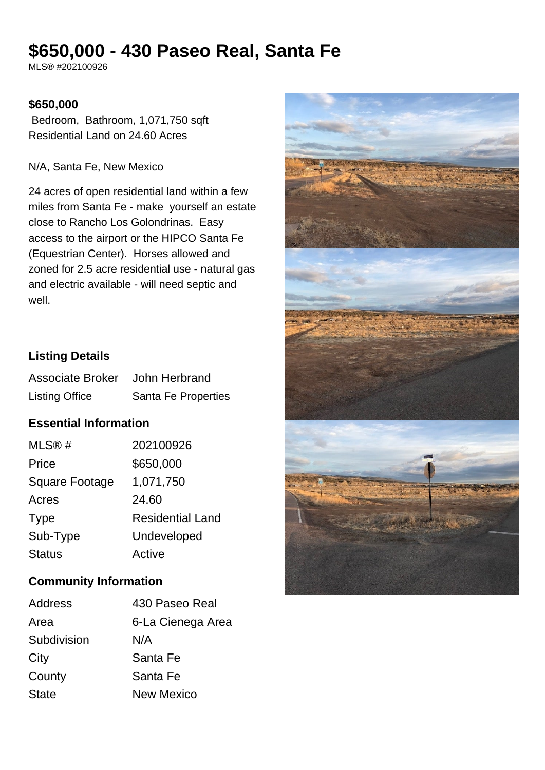# **\$650,000 - 430 Paseo Real, Santa Fe**

MLS® #202100926

#### **\$650,000**

 Bedroom, Bathroom, 1,071,750 sqft Residential Land on 24.60 Acres

N/A, Santa Fe, New Mexico

24 acres of open residential land within a few miles from Santa Fe - make yourself an estate close to Rancho Los Golondrinas. Easy access to the airport or the HIPCO Santa Fe (Equestrian Center). Horses allowed and zoned for 2.5 acre residential use - natural gas and electric available - will need septic and well.

## **Listing Details**

| <b>Associate Broker</b> | John Herbrand       |
|-------------------------|---------------------|
| <b>Listing Office</b>   | Santa Fe Properties |

## **Essential Information**

| MLS@#                 | 202100926               |
|-----------------------|-------------------------|
| Price                 | \$650,000               |
| <b>Square Footage</b> | 1,071,750               |
| Acres                 | 24.60                   |
| <b>Type</b>           | <b>Residential Land</b> |
| Sub-Type              | Undeveloped             |
| <b>Status</b>         | Active                  |

## **Community Information**

| Address      | 430 Paseo Real    |
|--------------|-------------------|
| Area         | 6-La Cienega Area |
| Subdivision  | N/A               |
| City         | Santa Fe          |
| County       | Santa Fe          |
| <b>State</b> | <b>New Mexico</b> |